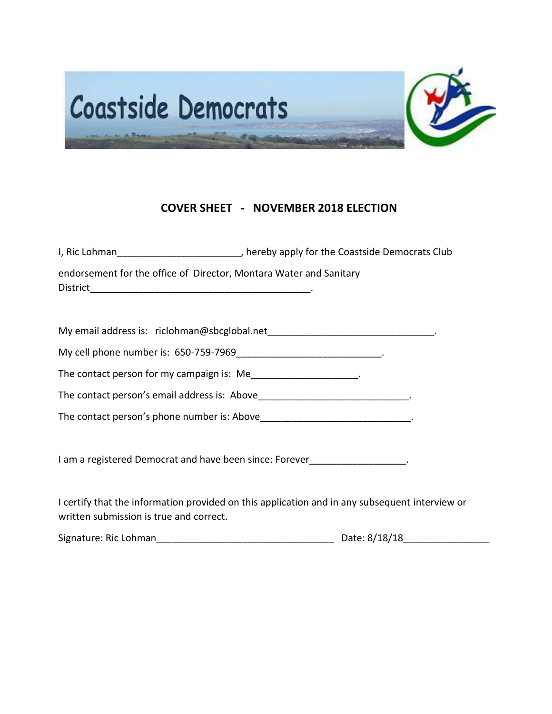

## **COVER SHEET - NOVEMBER 2018 ELECTION**

| I, Ric Lohman                                                      | , hereby apply for the Coastside Democrats Club |
|--------------------------------------------------------------------|-------------------------------------------------|
| endorsement for the office of Director, Montara Water and Sanitary |                                                 |
| <b>District</b>                                                    |                                                 |

| My email address is: riclohman@sbcglobal.net |  |  |
|----------------------------------------------|--|--|
|----------------------------------------------|--|--|

My cell phone number is: 650-759-7969

The contact person for my campaign is: Me\_\_\_\_\_\_\_\_\_\_\_\_\_\_\_\_\_\_\_\_\_.

The contact person's email address is: Above\_\_\_\_\_\_\_\_\_\_\_\_\_\_\_\_\_\_\_\_\_\_\_\_\_\_\_\_\_\_\_\_\_.

The contact person's phone number is: Above **Example 20** and the contact person's phone number is: Above

I am a registered Democrat and have been since: Forever\_\_\_\_\_\_\_\_\_\_\_\_\_\_\_\_\_\_\_\_.

I certify that the information provided on this application and in any subsequent interview or written submission is true and correct.

| Signature: Ric Lohman | Date: 8/18/18 |
|-----------------------|---------------|
|-----------------------|---------------|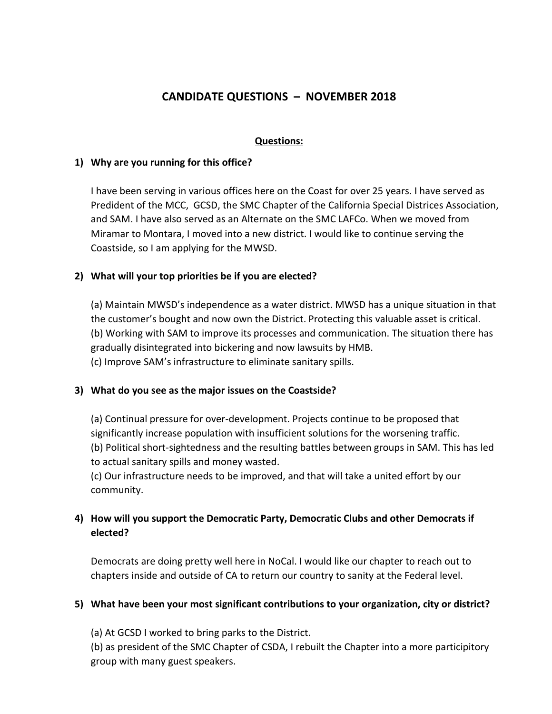# **CANDIDATE QUESTIONS – NOVEMBER 2018**

### **Questions:**

#### **1) Why are you running for this office?**

I have been serving in various offices here on the Coast for over 25 years. I have served as Predident of the MCC, GCSD, the SMC Chapter of the California Special Districes Association, and SAM. I have also served as an Alternate on the SMC LAFCo. When we moved from Miramar to Montara, I moved into a new district. I would like to continue serving the Coastside, so I am applying for the MWSD.

### **2) What will your top priorities be if you are elected?**

(a) Maintain MWSD's independence as a water district. MWSD has a unique situation in that the customer's bought and now own the District. Protecting this valuable asset is critical. (b) Working with SAM to improve its processes and communication. The situation there has gradually disintegrated into bickering and now lawsuits by HMB. (c) Improve SAM's infrastructure to eliminate sanitary spills.

### **3) What do you see as the major issues on the Coastside?**

(a) Continual pressure for over-development. Projects continue to be proposed that significantly increase population with insufficient solutions for the worsening traffic. (b) Political short-sightedness and the resulting battles between groups in SAM. This has led to actual sanitary spills and money wasted.

(c) Our infrastructure needs to be improved, and that will take a united effort by our community.

## **4) How will you support the Democratic Party, Democratic Clubs and other Democrats if elected?**

Democrats are doing pretty well here in NoCal. I would like our chapter to reach out to chapters inside and outside of CA to return our country to sanity at the Federal level.

### **5) What have been your most significant contributions to your organization, city or district?**

(a) At GCSD I worked to bring parks to the District.

(b) as president of the SMC Chapter of CSDA, I rebuilt the Chapter into a more participitory group with many guest speakers.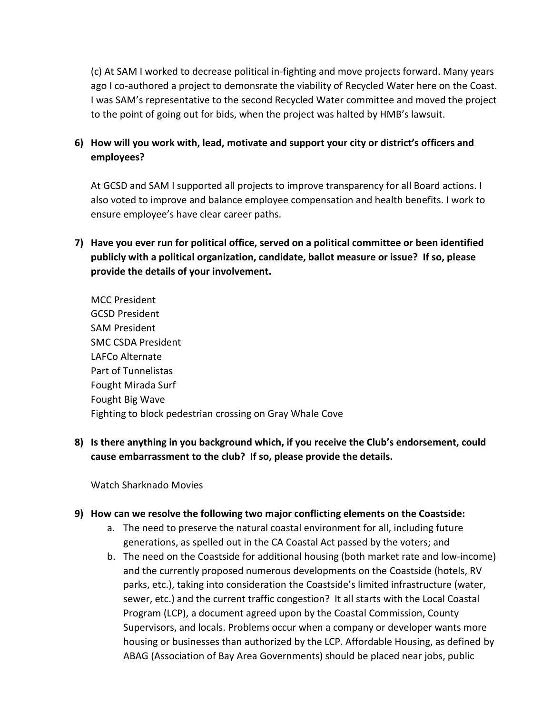(c) At SAM I worked to decrease political in-fighting and move projects forward. Many years ago I co-authored a project to demonsrate the viability of Recycled Water here on the Coast. I was SAM's representative to the second Recycled Water committee and moved the project to the point of going out for bids, when the project was halted by HMB's lawsuit.

## **6) How will you work with, lead, motivate and support your city or district's officers and employees?**

At GCSD and SAM I supported all projects to improve transparency for all Board actions. I also voted to improve and balance employee compensation and health benefits. I work to ensure employee's have clear career paths.

**7) Have you ever run for political office, served on a political committee or been identified publicly with a political organization, candidate, ballot measure or issue? If so, please provide the details of your involvement.** 

MCC President GCSD President SAM President SMC CSDA President LAFCo Alternate Part of Tunnelistas Fought Mirada Surf Fought Big Wave Fighting to block pedestrian crossing on Gray Whale Cove

**8) Is there anything in you background which, if you receive the Club's endorsement, could cause embarrassment to the club? If so, please provide the details.** 

Watch Sharknado Movies

#### **9) How can we resolve the following two major conflicting elements on the Coastside:**

- a. The need to preserve the natural coastal environment for all, including future generations, as spelled out in the CA Coastal Act passed by the voters; and
- b. The need on the Coastside for additional housing (both market rate and low-income) and the currently proposed numerous developments on the Coastside (hotels, RV parks, etc.), taking into consideration the Coastside's limited infrastructure (water, sewer, etc.) and the current traffic congestion? It all starts with the Local Coastal Program (LCP), a document agreed upon by the Coastal Commission, County Supervisors, and locals. Problems occur when a company or developer wants more housing or businesses than authorized by the LCP. Affordable Housing, as defined by ABAG (Association of Bay Area Governments) should be placed near jobs, public